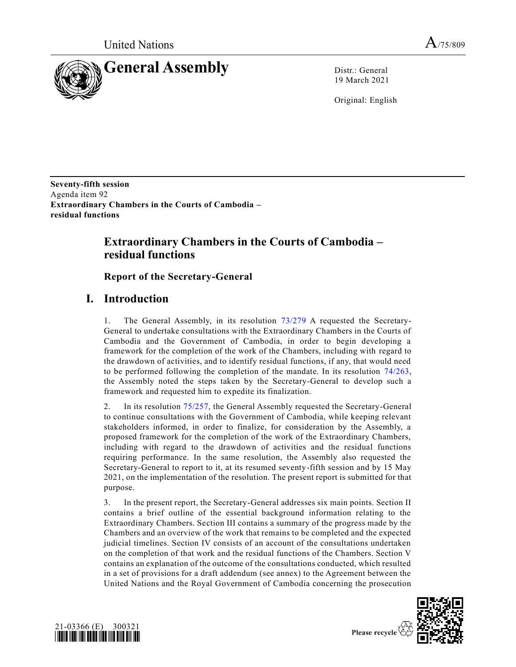

19 March 2021

Original: English

**Seventy-fifth session** Agenda item 92 **Extraordinary Chambers in the Courts of Cambodia – residual functions**

# **Extraordinary Chambers in the Courts of Cambodia – residual functions**

**Report of the Secretary-General**

# **I. Introduction**

1. The General Assembly, in its resolution [73/279](https://undocs.org/en/A/RES/73/279) A requested the Secretary-General to undertake consultations with the Extraordinary Chambers in the Courts of Cambodia and the Government of Cambodia, in order to begin developing a framework for the completion of the work of the Chambers, including with regard to the drawdown of activities, and to identify residual functions, if any, that would need to be performed following the completion of the mandate. In its resolution [74/263,](https://undocs.org/en/A/RES/74/263) the Assembly noted the steps taken by the Secretary-General to develop such a framework and requested him to expedite its finalization.

2. In its resolution [75/257,](https://undocs.org/en/A/RES/75/257) the General Assembly requested the Secretary-General to continue consultations with the Government of Cambodia, while keeping relevant stakeholders informed, in order to finalize, for consideration by the Assembly, a proposed framework for the completion of the work of the Extraordinary Chambers, including with regard to the drawdown of activities and the residual functions requiring performance. In the same resolution, the Assembly also requested the Secretary-General to report to it, at its resumed seventy-fifth session and by 15 May 2021, on the implementation of the resolution. The present report is submitted for that purpose.

3. In the present report, the Secretary-General addresses six main points. Section II contains a brief outline of the essential background information relating to the Extraordinary Chambers. Section III contains a summary of the progress made by the Chambers and an overview of the work that remains to be completed and the expected judicial timelines. Section IV consists of an account of the consultations undertaken on the completion of that work and the residual functions of the Chambers. Section V contains an explanation of the outcome of the consultations conducted, which resulted in a set of provisions for a draft addendum (see annex) to the Agreement between the United Nations and the Royal Government of Cambodia concerning the prosecution



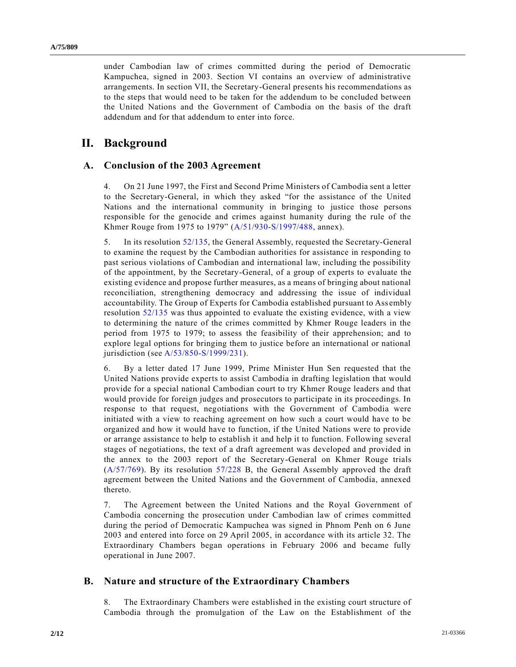under Cambodian law of crimes committed during the period of Democratic Kampuchea, signed in 2003. Section VI contains an overview of administrative arrangements. In section VII, the Secretary-General presents his recommendations as to the steps that would need to be taken for the addendum to be concluded between the United Nations and the Government of Cambodia on the basis of the draft addendum and for that addendum to enter into force.

# **II. Background**

### **A. Conclusion of the 2003 Agreement**

4. On 21 June 1997, the First and Second Prime Ministers of Cambodia sent a letter to the Secretary-General, in which they asked "for the assistance of the United Nations and the international community in bringing to justice those persons responsible for the genocide and crimes against humanity during the rule of the Khmer Rouge from 1975 to 1979" [\(A/51/930-S/1997/488,](https://undocs.org/en/A/51/930) annex).

5. In its resolution [52/135,](https://undocs.org/en/A/RES/52/135) the General Assembly, requested the Secretary-General to examine the request by the Cambodian authorities for assistance in responding to past serious violations of Cambodian and international law, including the possibility of the appointment, by the Secretary-General, of a group of experts to evaluate the existing evidence and propose further measures, as a means of bringing about national reconciliation, strengthening democracy and addressing the issue of individual accountability. The Group of Experts for Cambodia established pursuant to Assembly resolution [52/135](https://undocs.org/en/A/RES/52/135) was thus appointed to evaluate the existing evidence, with a view to determining the nature of the crimes committed by Khmer Rouge leaders in the period from 1975 to 1979; to assess the feasibility of their apprehension; and to explore legal options for bringing them to justice before an international or national jurisdiction (see [A/53/850-S/1999/231\)](https://undocs.org/en/A/53/850).

6. By a letter dated 17 June 1999, Prime Minister Hun Sen requested that the United Nations provide experts to assist Cambodia in drafting legislation that would provide for a special national Cambodian court to try Khmer Rouge leaders and that would provide for foreign judges and prosecutors to participate in its proceedings. In response to that request, negotiations with the Government of Cambodia were initiated with a view to reaching agreement on how such a court would have to be organized and how it would have to function, if the United Nations were to provide or arrange assistance to help to establish it and help it to function. Following several stages of negotiations, the text of a draft agreement was developed and provided in the annex to the 2003 report of the Secretary-General on Khmer Rouge trials [\(A/57/769\)](https://undocs.org/en/A/57/769). By its resolution [57/228](https://undocs.org/en/A/RES/57/228b) B, the General Assembly approved the draft agreement between the United Nations and the Government of Cambodia, annexed thereto.

7. The Agreement between the United Nations and the Royal Government of Cambodia concerning the prosecution under Cambodian law of crimes committed during the period of Democratic Kampuchea was signed in Phnom Penh on 6 June 2003 and entered into force on 29 April 2005, in accordance with its article 32. The Extraordinary Chambers began operations in February 2006 and became fully operational in June 2007.

### **B. Nature and structure of the Extraordinary Chambers**

8. The Extraordinary Chambers were established in the existing court structure of Cambodia through the promulgation of the Law on the Establishment of the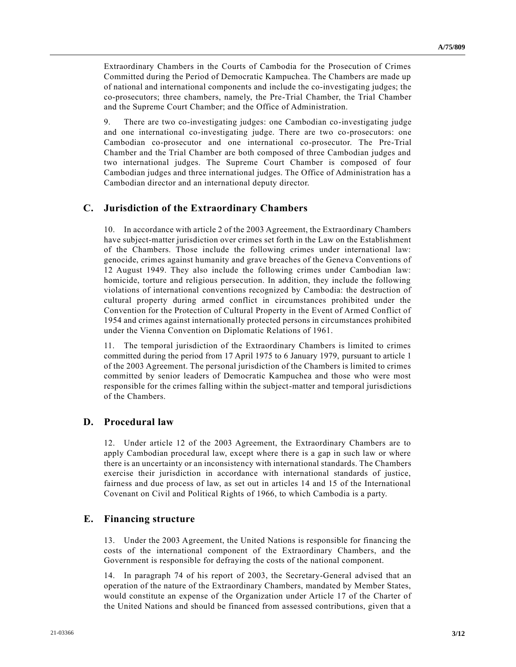Extraordinary Chambers in the Courts of Cambodia for the Prosecution of Crimes Committed during the Period of Democratic Kampuchea. The Chambers are made up of national and international components and include the co-investigating judges; the co-prosecutors; three chambers, namely, the Pre-Trial Chamber, the Trial Chamber and the Supreme Court Chamber; and the Office of Administration.

9. There are two co-investigating judges: one Cambodian co-investigating judge and one international co-investigating judge. There are two co-prosecutors: one Cambodian co-prosecutor and one international co-prosecutor. The Pre-Trial Chamber and the Trial Chamber are both composed of three Cambodian judges and two international judges. The Supreme Court Chamber is composed of four Cambodian judges and three international judges. The Office of Administration has a Cambodian director and an international deputy director.

## **C. Jurisdiction of the Extraordinary Chambers**

10. In accordance with article 2 of the 2003 Agreement, the Extraordinary Chambers have subject-matter jurisdiction over crimes set forth in the Law on the Establishment of the Chambers. Those include the following crimes under international law: genocide, crimes against humanity and grave breaches of the Geneva Conventions of 12 August 1949. They also include the following crimes under Cambodian law: homicide, torture and religious persecution. In addition, they include the following violations of international conventions recognized by Cambodia: the destruction of cultural property during armed conflict in circumstances prohibited under the Convention for the Protection of Cultural Property in the Event of Armed Conflict of 1954 and crimes against internationally protected persons in circumstances prohibited under the Vienna Convention on Diplomatic Relations of 1961.

11. The temporal jurisdiction of the Extraordinary Chambers is limited to crimes committed during the period from 17 April 1975 to 6 January 1979, pursuant to article 1 of the 2003 Agreement. The personal jurisdiction of the Chambers is limited to crimes committed by senior leaders of Democratic Kampuchea and those who were most responsible for the crimes falling within the subject-matter and temporal jurisdictions of the Chambers.

### **D. Procedural law**

12. Under article 12 of the 2003 Agreement, the Extraordinary Chambers are to apply Cambodian procedural law, except where there is a gap in such law or where there is an uncertainty or an inconsistency with international standards. The Chambers exercise their jurisdiction in accordance with international standards of justice, fairness and due process of law, as set out in articles 14 and 15 of the International Covenant on Civil and Political Rights of 1966, to which Cambodia is a party.

### **E. Financing structure**

13. Under the 2003 Agreement, the United Nations is responsible for financing the costs of the international component of the Extraordinary Chambers, and the Government is responsible for defraying the costs of the national component.

14. In paragraph 74 of his report of 2003, the Secretary-General advised that an operation of the nature of the Extraordinary Chambers, mandated by Member States, would constitute an expense of the Organization under Article 17 of the Charter of the United Nations and should be financed from assessed contributions, given that a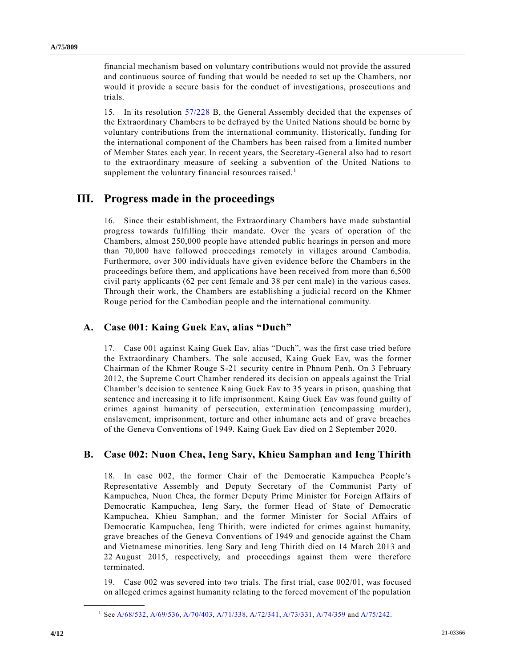financial mechanism based on voluntary contributions would not provide the assured and continuous source of funding that would be needed to set up the Chambers, nor would it provide a secure basis for the conduct of investigations, prosecutions and trials.

15. In its resolution [57/228](https://undocs.org/en/A/RES/57/228b) B, the General Assembly decided that the expenses of the Extraordinary Chambers to be defrayed by the United Nations should be borne by voluntary contributions from the international community. Historically, funding for the international component of the Chambers has been raised from a limited number of Member States each year. In recent years, the Secretary-General also had to resort to the extraordinary measure of seeking a subvention of the United Nations to supplement the voluntary financial resources raised.<sup>1</sup>

## **III. Progress made in the proceedings**

16. Since their establishment, the Extraordinary Chambers have made substantial progress towards fulfilling their mandate. Over the years of operation of the Chambers, almost 250,000 people have attended public hearings in person and more than 70,000 have followed proceedings remotely in villages around Cambodia. Furthermore, over 300 individuals have given evidence before the Chambers in the proceedings before them, and applications have been received from more than 6,500 civil party applicants (62 per cent female and 38 per cent male) in the various cases. Through their work, the Chambers are establishing a judicial record on the Khmer Rouge period for the Cambodian people and the international community.

### **A. Case 001: Kaing Guek Eav, alias "Duch"**

17. Case 001 against Kaing Guek Eav, alias "Duch", was the first case tried before the Extraordinary Chambers. The sole accused, Kaing Guek Eav, was the former Chairman of the Khmer Rouge S-21 security centre in Phnom Penh. On 3 February 2012, the Supreme Court Chamber rendered its decision on appeals against the Trial Chamber's decision to sentence Kaing Guek Eav to 35 years in prison, quashing that sentence and increasing it to life imprisonment. Kaing Guek Eav was found guilty of crimes against humanity of persecution, extermination (encompassing murder), enslavement, imprisonment, torture and other inhumane acts and of grave breaches of the Geneva Conventions of 1949. Kaing Guek Eav died on 2 September 2020.

### **B. Case 002: Nuon Chea, Ieng Sary, Khieu Samphan and Ieng Thirith**

18. In case 002, the former Chair of the Democratic Kampuchea People's Representative Assembly and Deputy Secretary of the Communist Party of Kampuchea, Nuon Chea, the former Deputy Prime Minister for Foreign Affairs of Democratic Kampuchea, Ieng Sary, the former Head of State of Democratic Kampuchea, Khieu Samphan, and the former Minister for Social Affairs of Democratic Kampuchea, Ieng Thirith, were indicted for crimes against humanity, grave breaches of the Geneva Conventions of 1949 and genocide against the Cham and Vietnamese minorities. Ieng Sary and Ieng Thirith died on 14 March 2013 and 22 August 2015, respectively, and proceedings against them were therefore terminated.

19. Case 002 was severed into two trials. The first trial, case 002/01, was focused on alleged crimes against humanity relating to the forced movement of the population

**\_\_\_\_\_\_\_\_\_\_\_\_\_\_\_\_\_\_**

<sup>1</sup> Se[e A/68/532,](https://undocs.org/en/A/68/532) [A/69/536,](https://undocs.org/en/A/69/536) [A/70/403,](https://undocs.org/en/A/70/403) [A/71/338,](https://undocs.org/en/A/71/338) [A/72/341,](https://undocs.org/en/A/72/341) [A/73/331,](https://undocs.org/en/A/73/331) [A/74/359](https://undocs.org/en/A/74/359) and [A/75/242.](https://undocs.org/en/A/75/242)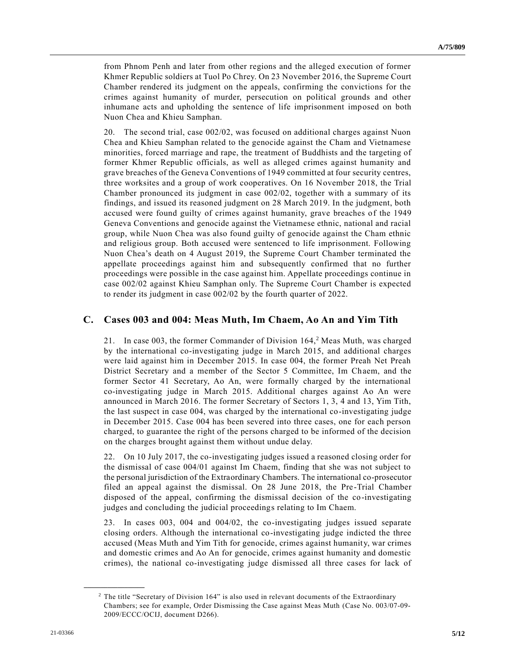from Phnom Penh and later from other regions and the alleged execution of former Khmer Republic soldiers at Tuol Po Chrey. On 23 November 2016, the Supreme Court Chamber rendered its judgment on the appeals, confirming the convictions for the crimes against humanity of murder, persecution on political grounds and other inhumane acts and upholding the sentence of life imprisonment imposed on both Nuon Chea and Khieu Samphan.

20. The second trial, case 002/02, was focused on additional charges against Nuon Chea and Khieu Samphan related to the genocide against the Cham and Vietnamese minorities, forced marriage and rape, the treatment of Buddhists and the targeting of former Khmer Republic officials, as well as alleged crimes against humanity and grave breaches of the Geneva Conventions of 1949 committed at four security centres, three worksites and a group of work cooperatives. On 16 November 2018, the Trial Chamber pronounced its judgment in case 002/02, together with a summary of its findings, and issued its reasoned judgment on 28 March 2019. In the judgment, both accused were found guilty of crimes against humanity, grave breaches of the 1949 Geneva Conventions and genocide against the Vietnamese ethnic, national and racial group, while Nuon Chea was also found guilty of genocide against the Cham ethnic and religious group. Both accused were sentenced to life imprisonment. Following Nuon Chea's death on 4 August 2019, the Supreme Court Chamber terminated the appellate proceedings against him and subsequently confirmed that no further proceedings were possible in the case against him. Appellate proceedings continue in case 002/02 against Khieu Samphan only. The Supreme Court Chamber is expected to render its judgment in case 002/02 by the fourth quarter of 2022.

## **C. Cases 003 and 004: Meas Muth, Im Chaem, Ao An and Yim Tith**

21. In case 003, the former Commander of Division 164,<sup>2</sup> Meas Muth, was charged by the international co-investigating judge in March 2015, and additional charges were laid against him in December 2015. In case 004, the former Preah Net Preah District Secretary and a member of the Sector 5 Committee, Im Chaem, and the former Sector 41 Secretary, Ao An, were formally charged by the international co-investigating judge in March 2015. Additional charges against Ao An were announced in March 2016. The former Secretary of Sectors 1, 3, 4 and 13, Yim Tith, the last suspect in case 004, was charged by the international co-investigating judge in December 2015. Case 004 has been severed into three cases, one for each person charged, to guarantee the right of the persons charged to be informed of the decision on the charges brought against them without undue delay.

22. On 10 July 2017, the co-investigating judges issued a reasoned closing order for the dismissal of case 004/01 against Im Chaem, finding that she was not subject to the personal jurisdiction of the Extraordinary Chambers. The international co-prosecutor filed an appeal against the dismissal. On 28 June 2018, the Pre-Trial Chamber disposed of the appeal, confirming the dismissal decision of the co-investigating judges and concluding the judicial proceedings relating to Im Chaem.

23. In cases 003, 004 and 004/02, the co-investigating judges issued separate closing orders. Although the international co-investigating judge indicted the three accused (Meas Muth and Yim Tith for genocide, crimes against humanity, war crimes and domestic crimes and Ao An for genocide, crimes against humanity and domestic crimes), the national co-investigating judge dismissed all three cases for lack of

**\_\_\_\_\_\_\_\_\_\_\_\_\_\_\_\_\_\_**

<sup>&</sup>lt;sup>2</sup> The title "Secretary of Division 164" is also used in relevant documents of the Extraordinary Chambers; see for example, Order Dismissing the Case against Meas Muth (Case No. 003/07-09- 2009/ECCC/OCIJ, document D266).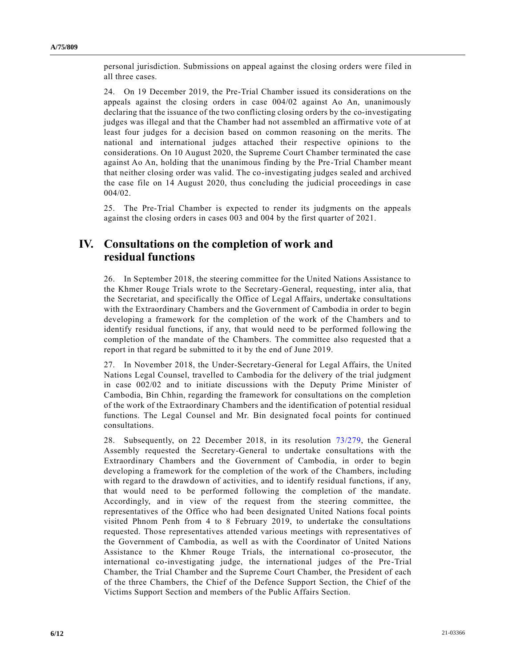personal jurisdiction. Submissions on appeal against the closing orders were filed in all three cases.

24. On 19 December 2019, the Pre-Trial Chamber issued its considerations on the appeals against the closing orders in case 004/02 against Ao An, unanimously declaring that the issuance of the two conflicting closing orders by the co-investigating judges was illegal and that the Chamber had not assembled an affirmative vote of at least four judges for a decision based on common reasoning on the merits. The national and international judges attached their respective opinions to the considerations. On 10 August 2020, the Supreme Court Chamber terminated the case against Ao An, holding that the unanimous finding by the Pre-Trial Chamber meant that neither closing order was valid. The co-investigating judges sealed and archived the case file on 14 August 2020, thus concluding the judicial proceedings in case 004/02.

25. The Pre-Trial Chamber is expected to render its judgments on the appeals against the closing orders in cases 003 and 004 by the first quarter of 2021.

## **IV. Consultations on the completion of work and residual functions**

26. In September 2018, the steering committee for the United Nations Assistance to the Khmer Rouge Trials wrote to the Secretary-General, requesting, inter alia, that the Secretariat, and specifically the Office of Legal Affairs, undertake consultations with the Extraordinary Chambers and the Government of Cambodia in order to begin developing a framework for the completion of the work of the Chambers and to identify residual functions, if any, that would need to be performed following the completion of the mandate of the Chambers. The committee also requested that a report in that regard be submitted to it by the end of June 2019.

27. In November 2018, the Under-Secretary-General for Legal Affairs, the United Nations Legal Counsel, travelled to Cambodia for the delivery of the trial judgment in case 002/02 and to initiate discussions with the Deputy Prime Minister of Cambodia, Bin Chhin, regarding the framework for consultations on the completion of the work of the Extraordinary Chambers and the identification of potential residual functions. The Legal Counsel and Mr. Bin designated focal points for continued consultations.

28. Subsequently, on 22 December 2018, in its resolution [73/279,](https://undocs.org/en/A/RES/73/279) the General Assembly requested the Secretary-General to undertake consultations with the Extraordinary Chambers and the Government of Cambodia, in order to begin developing a framework for the completion of the work of the Chambers, including with regard to the drawdown of activities, and to identify residual functions, if any, that would need to be performed following the completion of the mandate. Accordingly, and in view of the request from the steering committee, the representatives of the Office who had been designated United Nations focal points visited Phnom Penh from 4 to 8 February 2019, to undertake the consultations requested. Those representatives attended various meetings with representatives of the Government of Cambodia, as well as with the Coordinator of United Nations Assistance to the Khmer Rouge Trials, the international co-prosecutor, the international co-investigating judge, the international judges of the Pre-Trial Chamber, the Trial Chamber and the Supreme Court Chamber, the President of each of the three Chambers, the Chief of the Defence Support Section, the Chief of the Victims Support Section and members of the Public Affairs Section.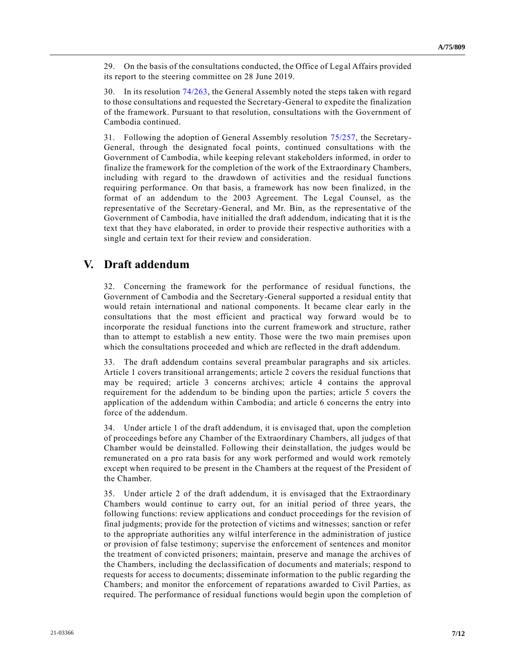29. On the basis of the consultations conducted, the Office of Legal Affairs provided its report to the steering committee on 28 June 2019.

30. In its resolution [74/263,](https://undocs.org/en/A/RES/74/263) the General Assembly noted the steps taken with regard to those consultations and requested the Secretary-General to expedite the finalization of the framework. Pursuant to that resolution, consultations with the Government of Cambodia continued.

31. Following the adoption of General Assembly resolution [75/257,](https://undocs.org/en/A/RES/75/257) the Secretary-General, through the designated focal points, continued consultations with the Government of Cambodia, while keeping relevant stakeholders informed, in order to finalize the framework for the completion of the work of the Extraordinary Chambers, including with regard to the drawdown of activities and the residual functions requiring performance. On that basis, a framework has now been finalized, in the format of an addendum to the 2003 Agreement. The Legal Counsel, as the representative of the Secretary-General, and Mr. Bin, as the representative of the Government of Cambodia, have initialled the draft addendum, indicating that it is the text that they have elaborated, in order to provide their respective authorities with a single and certain text for their review and consideration.

## **V. Draft addendum**

32. Concerning the framework for the performance of residual functions, the Government of Cambodia and the Secretary-General supported a residual entity that would retain international and national components. It became clear early in the consultations that the most efficient and practical way forward would be to incorporate the residual functions into the current framework and structure, rather than to attempt to establish a new entity. Those were the two main premises upon which the consultations proceeded and which are reflected in the draft addendum.

33. The draft addendum contains several preambular paragraphs and six articles. Article 1 covers transitional arrangements; article 2 covers the residual functions that may be required; article 3 concerns archives; article 4 contains the approval requirement for the addendum to be binding upon the parties; article 5 covers the application of the addendum within Cambodia; and article 6 concerns the entry into force of the addendum.

34. Under article 1 of the draft addendum, it is envisaged that, upon the completion of proceedings before any Chamber of the Extraordinary Chambers, all judges of that Chamber would be deinstalled. Following their deinstallation, the judges would be remunerated on a pro rata basis for any work performed and would work remotely except when required to be present in the Chambers at the request of the President of the Chamber.

35. Under article 2 of the draft addendum, it is envisaged that the Extraordinary Chambers would continue to carry out, for an initial period of three years, the following functions: review applications and conduct proceedings for the revision of final judgments; provide for the protection of victims and witnesses; sanction or refer to the appropriate authorities any wilful interference in the administration of justice or provision of false testimony; supervise the enforcement of sentences and monitor the treatment of convicted prisoners; maintain, preserve and manage the archives of the Chambers, including the declassification of documents and materials; respond to requests for access to documents; disseminate information to the public regarding the Chambers; and monitor the enforcement of reparations awarded to Civil Parties, as required. The performance of residual functions would begin upon the completion of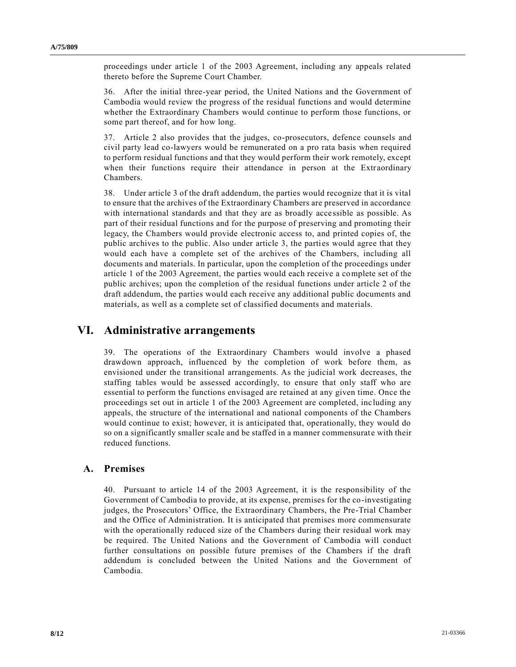proceedings under article 1 of the 2003 Agreement, including any appeals related thereto before the Supreme Court Chamber.

36. After the initial three-year period, the United Nations and the Government of Cambodia would review the progress of the residual functions and would determine whether the Extraordinary Chambers would continue to perform those functions, or some part thereof, and for how long.

37. Article 2 also provides that the judges, co-prosecutors, defence counsels and civil party lead co-lawyers would be remunerated on a pro rata basis when required to perform residual functions and that they would perform their work remotely, except when their functions require their attendance in person at the Extraordinary Chambers.

38. Under article 3 of the draft addendum, the parties would recognize that it is vital to ensure that the archives of the Extraordinary Chambers are preserved in accordance with international standards and that they are as broadly accessible as possible. As part of their residual functions and for the purpose of preserving and promoting their legacy, the Chambers would provide electronic access to, and printed copies of, the public archives to the public. Also under article 3, the parties would agree that they would each have a complete set of the archives of the Chambers, including all documents and materials. In particular, upon the completion of the proceedings under article 1 of the 2003 Agreement, the parties would each receive a complete set of the public archives; upon the completion of the residual functions under article 2 of the draft addendum, the parties would each receive any additional public documents and materials, as well as a complete set of classified documents and materials.

# **VI. Administrative arrangements**

39. The operations of the Extraordinary Chambers would involve a phased drawdown approach, influenced by the completion of work before them, as envisioned under the transitional arrangements. As the judicial work decreases, the staffing tables would be assessed accordingly, to ensure that only staff who are essential to perform the functions envisaged are retained at any given time. Once the proceedings set out in article 1 of the 2003 Agreement are completed, inc luding any appeals, the structure of the international and national components of the Chambers would continue to exist; however, it is anticipated that, operationally, they would do so on a significantly smaller scale and be staffed in a manner commensurate with their reduced functions.

### **A. Premises**

40. Pursuant to article 14 of the 2003 Agreement, it is the responsibility of the Government of Cambodia to provide, at its expense, premises for the co-investigating judges, the Prosecutors' Office, the Extraordinary Chambers, the Pre-Trial Chamber and the Office of Administration. It is anticipated that premises more commensurate with the operationally reduced size of the Chambers during their residual work may be required. The United Nations and the Government of Cambodia will conduct further consultations on possible future premises of the Chambers if the draft addendum is concluded between the United Nations and the Government of Cambodia.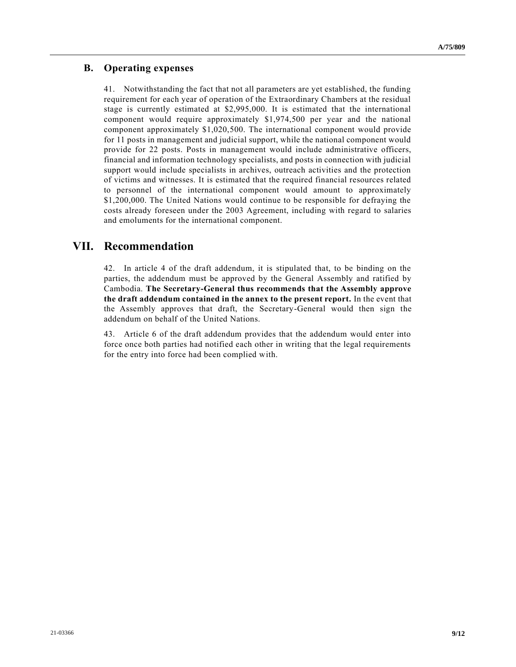## **B. Operating expenses**

41. Notwithstanding the fact that not all parameters are yet established, the funding requirement for each year of operation of the Extraordinary Chambers at the residual stage is currently estimated at \$2,995,000. It is estimated that the international component would require approximately \$1,974,500 per year and the national component approximately \$1,020,500. The international component would provide for 11 posts in management and judicial support, while the national component would provide for 22 posts. Posts in management would include administrative officers, financial and information technology specialists, and posts in connection with judicial support would include specialists in archives, outreach activities and the protection of victims and witnesses. It is estimated that the required financial resources related to personnel of the international component would amount to approximately \$1,200,000. The United Nations would continue to be responsible for defraying the costs already foreseen under the 2003 Agreement, including with regard to salaries and emoluments for the international component.

# **VII. Recommendation**

42. In article 4 of the draft addendum, it is stipulated that, to be binding on the parties, the addendum must be approved by the General Assembly and ratified by Cambodia. **The Secretary-General thus recommends that the Assembly approve the draft addendum contained in the annex to the present report.** In the event that the Assembly approves that draft, the Secretary-General would then sign the addendum on behalf of the United Nations.

43. Article 6 of the draft addendum provides that the addendum would enter into force once both parties had notified each other in writing that the legal requirements for the entry into force had been complied with.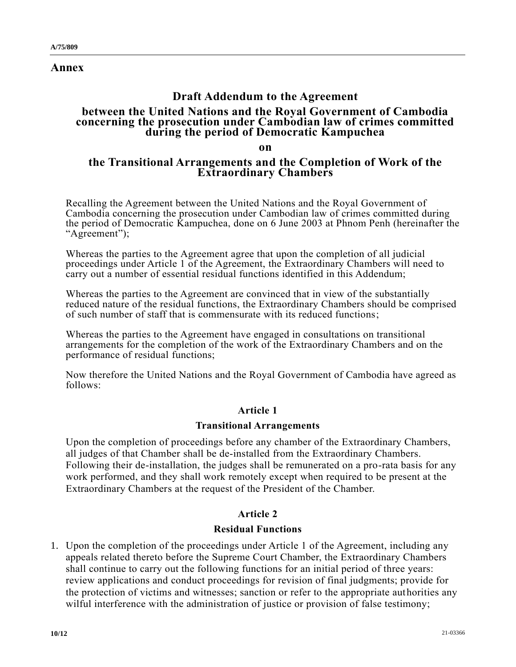**Annex**

# **Draft Addendum to the Agreement**

## **between the United Nations and the Royal Government of Cambodia concerning the prosecution under Cambodian law of crimes committed during the period of Democratic Kampuchea**

**on**

## **the Transitional Arrangements and the Completion of Work of the Extraordinary Chambers**

Recalling the Agreement between the United Nations and the Royal Government of Cambodia concerning the prosecution under Cambodian law of crimes committed during the period of Democratic Kampuchea, done on 6 June 2003 at Phnom Penh (hereinafter the "Agreement");

Whereas the parties to the Agreement agree that upon the completion of all judicial proceedings under Article 1 of the Agreement, the Extraordinary Chambers will need to carry out a number of essential residual functions identified in this Addendum;

Whereas the parties to the Agreement are convinced that in view of the substantially reduced nature of the residual functions, the Extraordinary Chambers should be comprised of such number of staff that is commensurate with its reduced functions;

Whereas the parties to the Agreement have engaged in consultations on transitional arrangements for the completion of the work of the Extraordinary Chambers and on the performance of residual functions;

Now therefore the United Nations and the Royal Government of Cambodia have agreed as follows:

# **Article 1**

## **Transitional Arrangements**

Upon the completion of proceedings before any chamber of the Extraordinary Chambers, all judges of that Chamber shall be de-installed from the Extraordinary Chambers. Following their de-installation, the judges shall be remunerated on a pro-rata basis for any work performed, and they shall work remotely except when required to be present at the Extraordinary Chambers at the request of the President of the Chamber.

# **Article 2**

## **Residual Functions**

1. Upon the completion of the proceedings under Article 1 of the Agreement, including any appeals related thereto before the Supreme Court Chamber, the Extraordinary Chambers shall continue to carry out the following functions for an initial period of three years: review applications and conduct proceedings for revision of final judgments; provide for the protection of victims and witnesses; sanction or refer to the appropriate authorities any wilful interference with the administration of justice or provision of false testimony;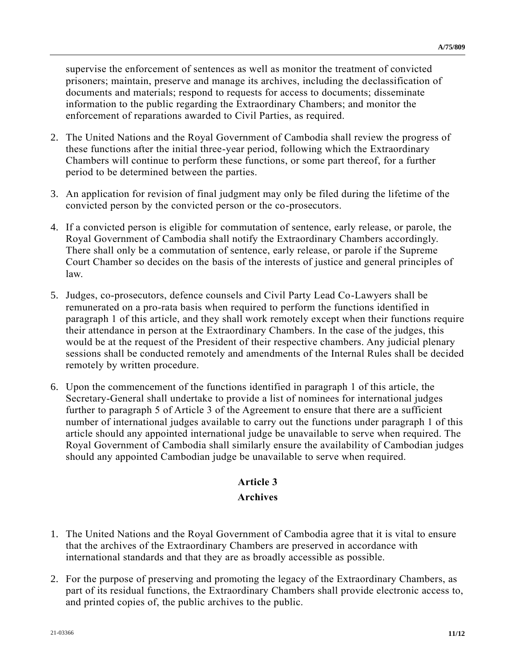supervise the enforcement of sentences as well as monitor the treatment of convicted prisoners; maintain, preserve and manage its archives, including the declassification of documents and materials; respond to requests for access to documents; disseminate information to the public regarding the Extraordinary Chambers; and monitor the enforcement of reparations awarded to Civil Parties, as required.

- 2. The United Nations and the Royal Government of Cambodia shall review the progress of these functions after the initial three-year period, following which the Extraordinary Chambers will continue to perform these functions, or some part thereof, for a further period to be determined between the parties.
- 3. An application for revision of final judgment may only be filed during the lifetime of the convicted person by the convicted person or the co-prosecutors.
- 4. If a convicted person is eligible for commutation of sentence, early release, or parole, the Royal Government of Cambodia shall notify the Extraordinary Chambers accordingly. There shall only be a commutation of sentence, early release, or parole if the Supreme Court Chamber so decides on the basis of the interests of justice and general principles of law.
- 5. Judges, co-prosecutors, defence counsels and Civil Party Lead Co-Lawyers shall be remunerated on a pro-rata basis when required to perform the functions identified in paragraph 1 of this article, and they shall work remotely except when their functions require their attendance in person at the Extraordinary Chambers. In the case of the judges, this would be at the request of the President of their respective chambers. Any judicial plenary sessions shall be conducted remotely and amendments of the Internal Rules shall be decided remotely by written procedure.
- 6. Upon the commencement of the functions identified in paragraph 1 of this article, the Secretary-General shall undertake to provide a list of nominees for international judges further to paragraph 5 of Article 3 of the Agreement to ensure that there are a sufficient number of international judges available to carry out the functions under paragraph 1 of this article should any appointed international judge be unavailable to serve when required. The Royal Government of Cambodia shall similarly ensure the availability of Cambodian judges should any appointed Cambodian judge be unavailable to serve when required.

# **Article 3**

## **Archives**

- 1. The United Nations and the Royal Government of Cambodia agree that it is vital to ensure that the archives of the Extraordinary Chambers are preserved in accordance with international standards and that they are as broadly accessible as possible.
- 2. For the purpose of preserving and promoting the legacy of the Extraordinary Chambers, as part of its residual functions, the Extraordinary Chambers shall provide electronic access to, and printed copies of, the public archives to the public.